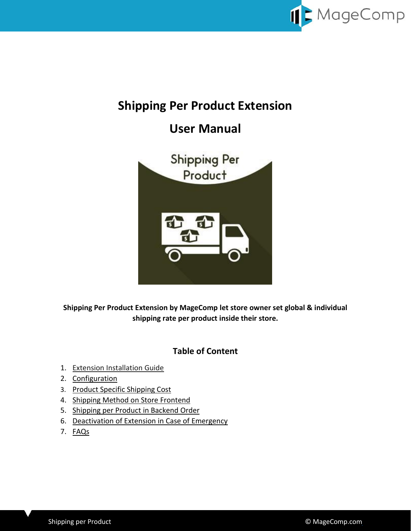

# **Shipping Per Product Extension**

# **User Manual**



**Shipping Per Product Extension by MageComp let store owner set global & individual shipping rate per product inside their store.**

# **Table of Content**

- 1. [Extension Installation Guide](#page-1-0)
- 2. [Configuration](#page-1-1)
- 3. [Product Specific Shipping Cost](#page-2-0)
- 4. [Shipping Method on Store Frontend](#page-3-0)
- 5. [Shipping per Product](#page-4-0) in Backend Order
- 6. [Deactivation of Extension in Case of Emergency](#page-4-1)
- 7. [FAQs](#page-4-2)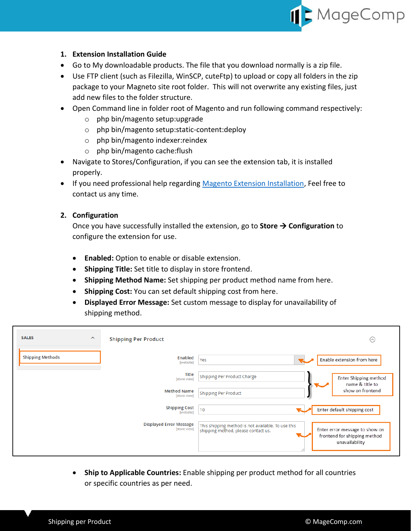

### <span id="page-1-0"></span>**1. Extension Installation Guide**

- Go to My downloadable products. The file that you download normally is a zip file.
- Use FTP client (such as Filezilla, WinSCP, cuteFtp) to upload or copy all folders in the zip package to your Magneto site root folder. This will not overwrite any existing files, just add new files to the folder structure.
- Open Command line in folder root of Magento and run following command respectively:
	- o php bin/magento setup:upgrade
	- o php bin/magento setup:static-content:deploy
	- o php bin/magento indexer:reindex
	- o php bin/magento cache:flush
- Navigate to Stores/Configuration, if you can see the extension tab, it is installed properly.
- If you need professional help regarding [Magento Extension Installation,](https://magecomp.com/magento-professional-installation.html) Feel free to contact us any time.

#### <span id="page-1-1"></span>**2. Configuration**

Once you have successfully installed the extension, go to **Store Configuration** to configure the extension for use.

- **Enabled:** Option to enable or disable extension.
- **Shipping Title:** Set title to display in store frontend.
- **Shipping Method Name:** Set shipping per product method name from here.
- **Shipping Cost:** You can set default shipping cost from here.
- **Displayed Error Message:** Set custom message to display for unavailability of shipping method.

| <b>SALES</b><br>$\boldsymbol{\wedge}$ | <b>Shipping Per Product</b>                    | ⊙                                                                                                                                                                             |
|---------------------------------------|------------------------------------------------|-------------------------------------------------------------------------------------------------------------------------------------------------------------------------------|
| <b>Shipping Methods</b>               | Enabled<br>[website]                           | Enable extension from here<br>Yes                                                                                                                                             |
|                                       | <b>Title</b><br>[store view]                   | Shipping Per Product Charge<br>Enter Shipping method<br>name & title to                                                                                                       |
|                                       | <b>Method Name</b><br>[store view]             | show on frontend<br><b>Shipping Per Product</b>                                                                                                                               |
|                                       | <b>Shipping Cost</b><br>[website]              | Enter default shipping cost<br>10                                                                                                                                             |
|                                       | <b>Displayed Error Message</b><br>[store view] | This shipping method is not available. To use this<br>Enter error message to show on<br>shipping method, please contact us.<br>frontend for shipping method<br>unavailability |

 **Ship to Applicable Countries:** Enable shipping per product method for all countries or specific countries as per need.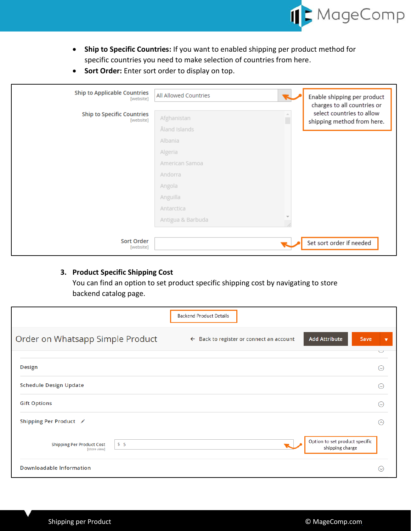

- **Ship to Specific Countries:** If you want to enabled shipping per product method for specific countries you need to make selection of countries from here.
- **Sort Order:** Enter sort order to display on top.

| <b>Ship to Applicable Countries</b><br>[website] | All Allowed Countries                    | Enable shipping per product<br>charges to all countries or |
|--------------------------------------------------|------------------------------------------|------------------------------------------------------------|
| <b>Ship to Specific Countries</b><br>[website]   | $\Delta$<br>Afghanistan<br>п             | select countries to allow<br>shipping method from here.    |
|                                                  | Åland Islands                            |                                                            |
|                                                  | Albania                                  |                                                            |
|                                                  | Algeria                                  |                                                            |
|                                                  | American Samoa                           |                                                            |
|                                                  | Andorra                                  |                                                            |
|                                                  | Angola                                   |                                                            |
|                                                  | Anguilla                                 |                                                            |
|                                                  | Antarctica                               |                                                            |
|                                                  | $\overline{\nabla}$<br>Antigua & Barbuda |                                                            |
|                                                  |                                          |                                                            |
| Sort Order<br>[website]                          |                                          | Set sort order if needed                                   |

## <span id="page-2-0"></span>**3. Product Specific Shipping Cost**

You can find an option to set product specific shipping cost by navigating to store backend catalog page.

|                                                         | <b>Backend Product Details</b>                                                                                    |  |
|---------------------------------------------------------|-------------------------------------------------------------------------------------------------------------------|--|
| Order on Whatsapp Simple Product                        | <b>Add Attribute</b><br>Back to register or connect an account<br>Save<br>$\leftarrow$<br>$\overline{\mathbf{v}}$ |  |
|                                                         |                                                                                                                   |  |
| <b>Design</b>                                           | $\circlearrowright$                                                                                               |  |
| <b>Schedule Design Update</b>                           | $\odot$                                                                                                           |  |
| <b>Gift Options</b>                                     | $\odot$                                                                                                           |  |
| Shipping Per Product /                                  | (⌒)                                                                                                               |  |
| \$5<br><b>Shipping Per Product Cost</b><br>[store view] | Option to set product specific<br>shipping charge                                                                 |  |
| <b>Downloadable Information</b>                         | $(\sim)$                                                                                                          |  |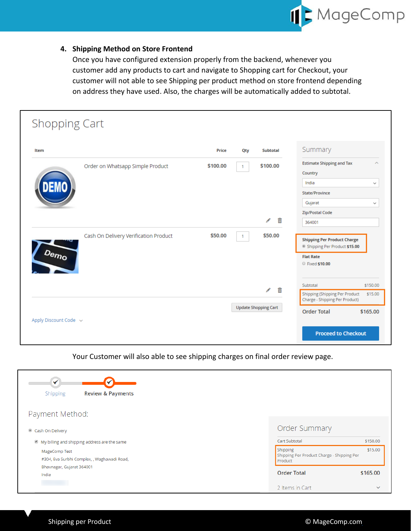

## <span id="page-3-0"></span>**4. Shipping Method on Store Frontend**

Once you have configured extension properly from the backend, whenever you customer add any products to cart and navigate to Shopping cart for Checkout, your customer will not able to see Shipping per product method on store frontend depending on address they have used. Also, the charges will be automatically added to subtotal.

| Item |                                       | Price    | Qty            | <b>Subtotal</b>             | Summary                                                                                |              |
|------|---------------------------------------|----------|----------------|-----------------------------|----------------------------------------------------------------------------------------|--------------|
|      | Order on Whatsapp Simple Product      | \$100.00 | 1              | \$100.00                    | <b>Estimate Shipping and Tax</b>                                                       | ́            |
|      |                                       |          |                |                             | Country                                                                                |              |
|      |                                       |          |                |                             | India                                                                                  | $\checkmark$ |
|      |                                       |          |                |                             | State/Province                                                                         |              |
|      |                                       |          |                |                             | Gujarat                                                                                | $\checkmark$ |
|      |                                       |          |                |                             | Zip/Postal Code                                                                        |              |
|      |                                       |          |                | 命<br>Í                      | 364001                                                                                 |              |
| Demo | Cash On Delivery Verification Product | \$50.00  | $\overline{1}$ | \$50.00                     | <b>Shipping Per Product Charge</b><br>Shipping Per Product \$15.00<br><b>Flat Rate</b> |              |
|      |                                       |          |                |                             | ● Fixed \$10.00                                                                        |              |
|      |                                       |          |                | 侖<br>ℐ                      | Subtotal                                                                               | \$150.00     |
|      |                                       |          |                |                             | Shipping (Shipping Per Product<br>Charge - Shipping Per Product)                       | \$15.00      |
|      |                                       |          |                | <b>Update Shopping Cart</b> | <b>Order Total</b>                                                                     | \$165.00     |

Your Customer will also able to see shipping charges on final order review page.

| ✓                                                            |                                                                   |              |
|--------------------------------------------------------------|-------------------------------------------------------------------|--------------|
| <b>Review &amp; Payments</b><br>Shipping                     |                                                                   |              |
| Payment Method:                                              |                                                                   |              |
| Cash On Delivery                                             | <b>Order Summary</b>                                              |              |
| My billing and shipping address are the same                 | Cart Subtotal                                                     | \$150.00     |
| MageComp Test<br>#304, Eva Surbhi Complex, , Waghawadi Road, | Shipping<br>Shipping Per Product Charge - Shipping Per<br>Product | \$15.00      |
| Bhavnagar, Gujarat 364001<br>India                           | <b>Order Total</b>                                                | \$165.00     |
|                                                              | 2 Items in Cart                                                   | $\checkmark$ |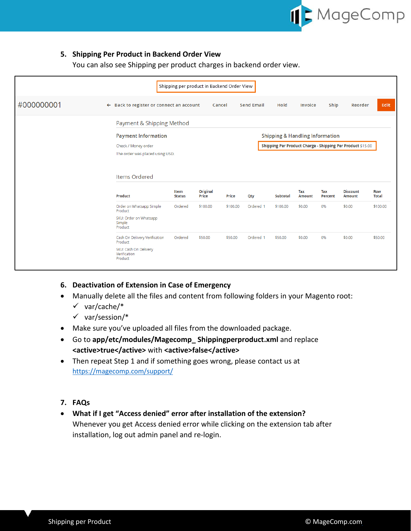

## <span id="page-4-0"></span>**5. Shipping Per Product in Backend Order View**

You can also see Shipping per product charges in backend order view.

|            |                                                     | Shipping per product in Backend Order View |                          |          |                   |                                                            |                      |                |                                  |                     |  |
|------------|-----------------------------------------------------|--------------------------------------------|--------------------------|----------|-------------------|------------------------------------------------------------|----------------------|----------------|----------------------------------|---------------------|--|
| #000000001 | $\leftarrow$ Back to register or connect an account |                                            | Cancel                   |          | <b>Send Email</b> | Hold                                                       | Invoice              | Ship           | Reorder                          | Edit                |  |
|            | Payment & Shipping Method                           |                                            |                          |          |                   |                                                            |                      |                |                                  |                     |  |
|            |                                                     | <b>Payment Information</b>                 |                          |          |                   | <b>Shipping &amp; Handling Information</b>                 |                      |                |                                  |                     |  |
|            | Check / Money order                                 |                                            |                          |          |                   | Shipping Per Product Charge - Shipping Per Product \$15.00 |                      |                |                                  |                     |  |
|            | The order was placed using USD.                     |                                            |                          |          |                   |                                                            |                      |                |                                  |                     |  |
|            |                                                     |                                            |                          |          |                   |                                                            |                      |                |                                  |                     |  |
|            | Items Ordered                                       |                                            |                          |          |                   |                                                            |                      |                |                                  |                     |  |
|            | Product                                             | Item<br><b>Status</b>                      | <b>Original</b><br>Price | Price    | Qty               | Subtotal                                                   | Tax<br><b>Amount</b> | Tax<br>Percent | <b>Discount</b><br><b>Amount</b> | <b>Row</b><br>Total |  |
|            | Order on Whatsapp Simple<br>Product                 | Ordered                                    | \$100.00                 | \$100.00 | Ordered 1         | \$100.00                                                   | \$0.00               | 0%             | \$0,00                           | \$100.00            |  |
|            | SKU: Order on Whatsapp<br>Simple<br>Product         |                                            |                          |          |                   |                                                            |                      |                |                                  |                     |  |
|            | Cash On Delivery Verification<br>Product            | Ordered                                    | \$50,00                  | \$50.00  | Ordered 1         | \$50,00                                                    | \$0.00               | 0%             | \$0,00                           | \$50,00             |  |
|            | SKU: Cash On Delivery<br>Verification<br>Product    |                                            |                          |          |                   |                                                            |                      |                |                                  |                     |  |
|            |                                                     |                                            |                          |          |                   |                                                            |                      |                |                                  |                     |  |

- <span id="page-4-1"></span>**6. Deactivation of Extension in Case of Emergency**
- Manually delete all the files and content from following folders in your Magento root:
	- $\checkmark$  var/cache/\*
	- $\checkmark$  var/session/\*
- Make sure you've uploaded all files from the downloaded package.
- Go to **app/etc/modules/Magecomp\_ Shippingperproduct.xml** and replace **<active>true</active>** with **<active>false</active>**
- Then repeat Step 1 and if something goes wrong, please contact us at <https://magecomp.com/support/>
- <span id="page-4-2"></span>**7. FAQs**
- **What if I get "Access denied" error after installation of the extension?** Whenever you get Access denied error while clicking on the extension tab after installation, log out admin panel and re-login.